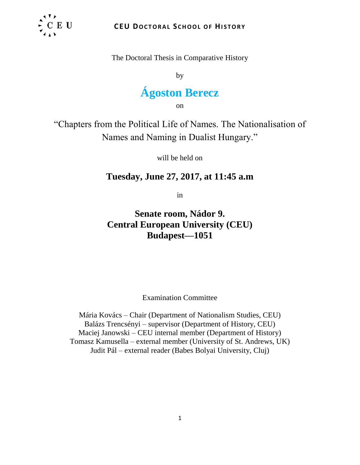

The Doctoral Thesis in Comparative History

by

# **Ágoston Berecz**

on

"Chapters from the Political Life of Names. The Nationalisation of Names and Naming in Dualist Hungary."

will be held on

# **Tuesday, June 27, 2017, at 11:45 a.m**

in

**Senate room, Nádor 9. Central European University (CEU) Budapest—1051** 

Examination Committee

Mária Kovács – Chair (Department of Nationalism Studies, CEU) Balázs Trencsényi – supervisor (Department of History, CEU) Maciej Janowski – CEU internal member (Department of History) Tomasz Kamusella – external member (University of St. Andrews, UK) Judit Pál – external reader (Babes Bolyai University, Cluj)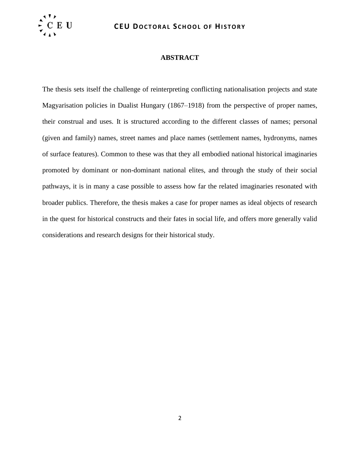

#### **ABSTRACT**

The thesis sets itself the challenge of reinterpreting conflicting nationalisation projects and state Magyarisation policies in Dualist Hungary (1867–1918) from the perspective of proper names, their construal and uses. It is structured according to the different classes of names; personal (given and family) names, street names and place names (settlement names, hydronyms, names of surface features). Common to these was that they all embodied national historical imaginaries promoted by dominant or non-dominant national elites, and through the study of their social pathways, it is in many a case possible to assess how far the related imaginaries resonated with broader publics. Therefore, the thesis makes a case for proper names as ideal objects of research in the quest for historical constructs and their fates in social life, and offers more generally valid considerations and research designs for their historical study.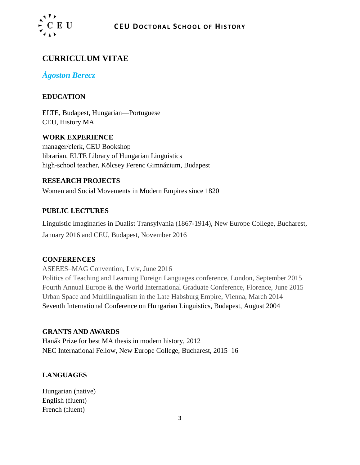

# **CURRICULUM VITAE**

# *Ágoston Berecz*

# **EDUCATION**

ELTE, Budapest, Hungarian—Portuguese CEU, History MA

**WORK EXPERIENCE** manager/clerk, CEU Bookshop librarian, ELTE Library of Hungarian Linguistics high-school teacher, Kölcsey Ferenc Gimnázium, Budapest

# **RESEARCH PROJECTS**

Women and Social Movements in Modern Empires since 1820

## **PUBLIC LECTURES**

Linguistic Imaginaries in Dualist Transylvania (1867-1914), New Europe College, Bucharest, January 2016 and CEU, Budapest, November 2016

#### **CONFERENCES**

ASEEES–MAG Convention, Lviv, June 2016 Politics of Teaching and Learning Foreign Languages conference, London, September 2015 Fourth Annual Europe & the World International Graduate Conference, Florence, June 2015 Urban Space and Multilingualism in the Late Habsburg Empire, Vienna, March 2014 Seventh International Conference on Hungarian Linguistics, Budapest, August 2004

#### **GRANTS AND AWARDS**

Hanák Prize for best MA thesis in modern history, 2012 NEC International Fellow, New Europe College, Bucharest, 2015–16

# **LANGUAGES**

Hungarian (native) English (fluent) French (fluent)